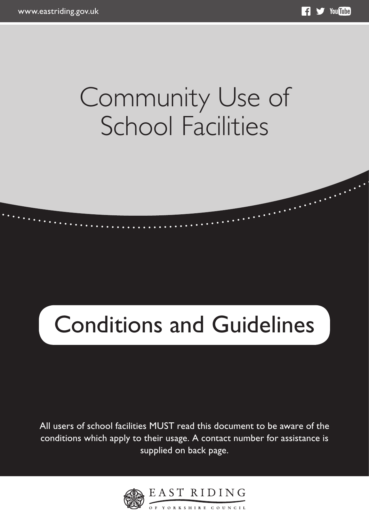## Community Use of School Facilities

# Conditions and Guidelines

All users of school facilities MUST read this document to be aware of the conditions which apply to their usage. A contact number for assistance is supplied on back page.

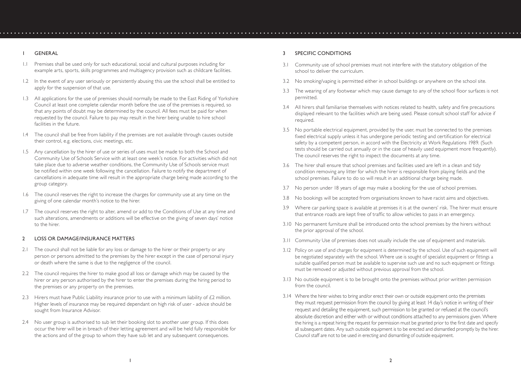- 1.1 Premises shall be used only for such educational, social and cultural purposes including for example arts, sports, skills programmes and multiagency provision such as childcare facilities.
- 1.2 In the event of any user seriously or persistently abusing this use the school shall be entitled to apply for the suspension of that use.
- 1.3 All applications for the use of premises should normally be made to the East Riding of Yorkshire Council at least one complete calendar month before the use of the premises is required, so that any points of doubt may be determined by the council. All fees must be paid for when requested by the council. Failure to pay may result in the hirer being unable to hire school facilities in the future.
- 1.4 The council shall be free from liability if the premises are not available through causes outside their control, e.g. elections, civic meetings, etc.
- 1.5 Any cancellation by the hirer of use or series of uses must be made to both the School and Community Use of Schools Service with at least one week's notice. For activities which did not take place due to adverse weather conditions, the Community Use of Schools service must be notified within one week following the cancellation. Failure to notify the department of cancellations in adequate time will result in the appropriate charge being made according to the group category.
- 1.6 The council reserves the right to increase the charges for community use at any time on the giving of one calendar month's notice to the hirer.
- 1.7 The council reserves the right to alter, amend or add to the Conditions of Use at any time and such alterations, amendments or additions will be effective on the giving of seven days' notice to the hirer.

#### 2 LOSS OR DAMAGE/INSURANCE MATTERS

- 2.1 The council shall not be liable for any loss or damage to the hirer or their property or any person or persons admitted to the premises by the hirer except in the case of personal injury or death where the same is due to the negligence of the council.
- 2.2 The council requires the hirer to make good all loss or damage which may be caused by the hirer or any person authorised by the hirer to enter the premises during the hiring period to the premises or any property on the premises.
- 2.3 Hirers must have Public Liability insurance prior to use with a minimum liability of  $\mathcal{L}2$  million. Higher levels of insurance may be required dependant on high risk of user - advice should be sought from Insurance Advisor.
- 2.4 No user group is authorised to sub let their booking slot to another user group. If this does occur the hirer will be in breach of their letting agreement and will be held fully responsible for the actions and of the group to whom they have sub let and any subsequent consequences.

#### 3 SPECIFIC CONDITIONS

- 3.1 Community use of school premises must not interfere with the statutory obligation of the school to deliver the curriculum.
- 3.2 No smoking/vaping is permitted either in school buildings or anywhere on the school site.
- 3.3 The wearing of any footwear which may cause damage to any of the school floor surfaces is not permitted.
- 3.4 All hirers shall familiarise themselves with notices related to health, safety and fire precautions displayed relevant to the facilities which are being used. Please consult school staff for advice if required.
- 3.5 No portable electrical equipment, provided by the user, must be connected to the premises fixed electrical supply unless it has undergone periodic testing and certification for electrical safety by a competent person, in accord with the Electricity at Work Regulations 1989. (Such tests should be carried out annually or in the case of heavily used equipment more frequently). The council reserves the right to inspect the documents at any time.
- 3.6 The hirer shall ensure that school premises and facilities used are left in a clean and tidy condition removing any litter for which the hirer is responsible from playing fields and the school premises. Failure to do so will result in an additional charge being made.
- 3.7 No person under 18 years of age may make a booking for the use of school premises.
- 3.8 No bookings will be accepted from organisations known to have racist aims and objectives.
- 3.9 Where car parking space is available at premises it is at the owners' risk. The hirer must ensure that entrance roads are kept free of traffic to allow vehicles to pass in an emergency.
- 3.10 No permanent furniture shall be introduced onto the school premises by the hirers without the prior approval of the school.
- 3.11 Community Use of premises does not usually include the use of equipment and materials.
- 3.12 Policy on use of and charges for equipment is determined by the school. Use of such equipment will be negotiated separately with the school. Where use is sought of specialist equipment or fittings a suitable qualified person must be available to supervise such use and no such equipment or fittings must be removed or adjusted without previous approval from the school.
- 3.13 No outside equipment is to be brought onto the premises without prior written permission from the council.
- 3.14 Where the hirer wishes to bring and/or erect their own or outside equipment onto the premises they must request permission from the council by giving at least 14 day's notice in writing of their request and detailing the equipment, such permission to be granted or refused at the council's absolute discretion and either with or without conditions attached to any permissions given. Where the hiring is a repeat hiring the request for permission must be granted prior to the first date and specify all subsequent dates. Any such outside equipment is to be erected and dismantled promptly by the hirer. Council staff are not to be used in erecting and dismantling of outside equipment.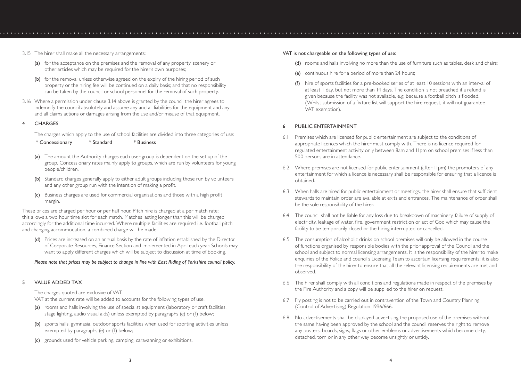- 3.15 The hirer shall make all the necessary arrangements:
	- (a) for the acceptance on the premises and the removal of any property, scenery or other articles which may be required for the hirer's own purposes;
	- (b) for the removal unless otherwise agreed on the expiry of the hiring period of such property or the hiring fee will be continued on a daily basis; and that no responsibility can be taken by the council or school personnel for the removal of such property.
- 3.16 Where a permission under clause 3.14 above is granted by the council the hirer agrees to indemnify the council absolutely and assume any and all liabilities for the equipment and any and all claims actions or damages arising from the use and/or misuse of that equipment.
- 4 CHARGES

The charges which apply to the use of school facilities are divided into three categories of use:

\* Concessionary \* Standard \* Business

- (a) The amount the Authority charges each user group is dependent on the set up of the group. Concessionary rates mainly apply to groups, which are run by volunteers for young people/children.
- (b) Standard charges generally apply to either adult groups including those run by volunteers and any other group run with the intention of making a profit.
- (c) Business charges are used for commercial organisations and those with a high profit margin.

These prices are charged per hour or per half hour. Pitch hire is charged at a per match rate; this allows a two hour time slot for each match. Matches lasting longer than this will be charged accordingly for the additional time incurred. Where multiple facilities are required i.e. football pitch and changing accommodation, a combined charge will be made.

(d) Prices are increased on an annual basis by the rate of inflation established by the Director of Corporate Resources, Finance Section and implemented in April each year. Schools may want to apply different charges which will be subject to discussion at time of booking.

#### *Please note that prices may be subject to change in line with East Riding of Yorkshire council policy.*

#### 5 VALUE ADDED TAX

The charges quoted are exclusive of VAT.

VAT at the current rate will be added to accounts for the following types of use.

- (a) rooms and halls involving the use of specialist equipment (laboratory or craft facilities, stage lighting, audio visual aids) unless exempted by paragraphs (e) or (f) below;
- (b) sports halls, gymnasia, outdoor sports facilities when used for sporting activities unless exempted by paragraphs (e) or (f) below;
- (c) grounds used for vehicle parking, camping, caravanning or exhibitions.

#### VAT is not chargeable on the following types of use:

- (d) rooms and halls involving no more than the use of furniture such as tables, desk and chairs;
- (e) continuous hire for a period of more than 24 hours;
- (f) hire of sports facilities for a pre-booked series of at least 10 sessions with an interval of at least 1 day, but not more than 14 days. The condition is not breached if a refund is given because the facility was not available, e.g. because a football pitch is flooded. (Whilst submission of a fixture list will support the hire request, it will not guarantee VAT exemption).

#### PUBLIC ENTERTAINMENT

- 6.1 Premises which are licensed for public entertainment are subject to the conditions of appropriate licences which the hirer must comply with. There is no licence required for regulated entertainment activity only between 8am and 11pm on school premises if less than 500 persons are in attendance.
- 6.2 Where premises are not licensed for public entertainment (after 11pm) the promoters of any entertainment for which a licence is necessary shall be responsible for ensuring that a licence is obtained.
- 6.3 When halls are hired for public entertainment or meetings, the hirer shall ensure that sufficient stewards to maintain order are available at exits and entrances. The maintenance of order shall be the sole responsibility of the hirer.
- 6.4 The council shall not be liable for any loss due to breakdown of machinery, failure of supply of electricity, leakage of water, fire, government restriction or act of God which may cause the facility to be temporarily closed or the hiring interrupted or cancelled.
- 6.5 The consumption of alcoholic drinks on school premises will only be allowed in the course of functions organised by responsible bodies with the prior approval of the Council and the school and subject to normal licensing arrangements. It is the responsibility of the hirer to make enquiries of the Police and council's Licensing Team to ascertain licensing requirements; it is also the responsibility of the hirer to ensure that all the relevant licensing requirements are met and observed.
- 6.6 The hirer shall comply with all conditions and regulations made in respect of the premises by the Fire Authority and a copy will be supplied to the hirer on request.
- 6.7 Fly posting is not to be carried out in contravention of the Town and Country Planning (Control of Advertising) Regulation 1996/666.
- 6.8 No advertisements shall be displayed advertising the proposed use of the premises without the same having been approved by the school and the council reserves the right to remove any posters, boards, signs, flags or other emblems or advertisements which become dirty, detached, torn or in any other way become unsightly or untidy.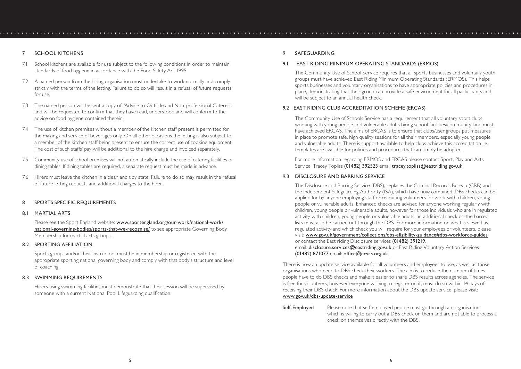#### 7 SCHOOL KITCHENS

- 7.1 School kitchens are available for use subject to the following conditions in order to maintain standards of food hygiene in accordance with the Food Safety Act 1995:
- 7.2 A named person from the hiring organisation must undertake to work normally and comply strictly with the terms of the letting. Failure to do so will result in a refusal of future requests for use.
- 7.3 The named person will be sent a copy of "Advice to Outside and Non-professional Caterers" and will be requested to confirm that they have read, understood and will conform to the advice on food hygiene contained therein.
- 7.4 The use of kitchen premises without a member of the kitchen staff present is permitted for the making and service of beverages only. On all other occasions the letting is also subject to a member of the kitchen staff being present to ensure the correct use of cooking equipment. The cost of such staffs' pay will be additional to the hire charge and invoiced separately.
- 7.5 Community use of school premises will not automatically include the use of catering facilities or dining tables. If dining tables are required, a separate request must be made in advance.
- 7.6 Hirers must leave the kitchen in a clean and tidy state. Failure to do so may result in the refusal of future letting requests and additional charges to the hirer.

#### 8 SPORTS SPECIFIC REQUIREMENTS

#### 8.1 MARTIAL ARTS

Please see the Sport England website: www.sportengland.org/our-work/national-work/ national-governing-bodies/sports-that-we-recognise/ to see appropriate Governing Body Membership for martial arts groups.

#### 8.2 SPORTING AFFILIATION

Sports groups and/or their instructors must be in membership or registered with the appropriate sporting national governing body and comply with that body's structure and level of coaching.

#### 8.3 SWIMMING REQUIREMENTS

Hirers using swimming facilities must demonstrate that their session will be supervised by someone with a current National Pool Lifeguarding qualification.

#### 9 SAFEGUARDING

#### 9.1 EAST RIDING MINIMUM OPERATING STANDARDS (ERMOS)

The Community Use of School Service requires that all sports businesses and voluntary youth groups must have achieved East Riding Minimum Operating Standards (ERMOS). This helps sports businesses and voluntary organisations to have appropriate policies and procedures in place, demonstrating that their group can provide a safe environment for all participants and will be subject to an annual health check.

#### 9.2 EAST RIDING CLUB ACCREDITATION SCHEME (ERCAS)

The Community Use of Schools Service has a requirement that all voluntary sport clubs working with young people and vulnerable adults hiring school facilities/community land must have achieved ERCAS. The aims of ERCAS is to ensure that clubs/user groups put measures in place to promote safe, high quality sessions for all their members, especially young people and vulnerable adults. There is support available to help clubs achieve this accreditation i.e. templates are available for policies and procedures that can simply be adopted.

For more information regarding ERMOS and ERCAS please contact Sport, Play and Arts Service, Tracey Topliss (01482) 392523 email tracey.topliss@eastriding.gov.uk

#### 9.3 DISCLOSURE AND BARRING SERVICE

The Disclosure and Barring Service (DBS), replaces the Criminal Records Bureau (CRB) and the Independent Safeguarding Authority (ISA), which have now combined. DBS checks can be applied for by anyone employing staff or recruiting volunteers for work with children, young people or vulnerable adults. Enhanced checks are advised for anyone working regularly with children, young people or vulnerable adults, however for those individuals who are in regulated activity with children, young people or vulnerable adults, an additional check on the barred lists must also be carried out through the DBS. For more information on what is viewed as regulated activity and which check you will require for your employees or volunteers, please visit: www.gov.uk/government/collections/dbs-eligibility-guidance#dbs-workforce-guides or contact the East riding Disclosure services (01482) 391219, email: disclosure.services@eastriding.gov.uk or East Riding Voluntary Action Services (01482) 871077 email: office@ervas.org.uk

There is now an update service available for all volunteers and employees to use, as well as those organisations who need to DBS check their workers. The aim is to reduce the number of times people have to do DBS checks and make it easier to share DBS results across agencies. The service is free for volunteers, however everyone wishing to register on it, must do so within 14 days of receiving their DBS check. For more information about the DBS update service, please visit: www.gov.uk/dbs-update-service

#### Self-Employed Please note that self-employed people must go through an organisation which is willing to carry out a DBS check on them and are not able to process a check on themselves directly with the DBS.